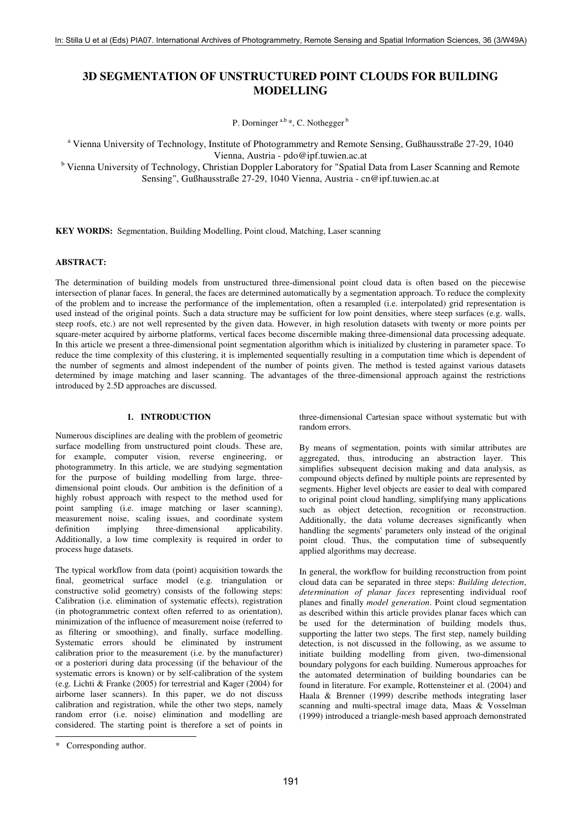# **3D SEGMENTATION OF UNSTRUCTURED POINT CLOUDS FOR BUILDING MODELLING**

P. Dorninger  $a,b$ <sup>\*</sup>, C. Nothegger<sup>b</sup>

<sup>a</sup> Vienna University of Technology, Institute of Photogrammetry and Remote Sensing, Gußhausstraße 27-29, 1040 Vienna, Austria - pdo@ipf.tuwien.ac.at

<sup>b</sup> Vienna University of Technology, Christian Doppler Laboratory for "Spatial Data from Laser Scanning and Remote Sensing", Gußhausstraße 27-29, 1040 Vienna, Austria - cn@ipf.tuwien.ac.at

**KEY WORDS:** Segmentation, Building Modelling, Point cloud, Matching, Laser scanning

# **ABSTRACT:**

The determination of building models from unstructured three-dimensional point cloud data is often based on the piecewise intersection of planar faces. In general, the faces are determined automatically by a segmentation approach. To reduce the complexity of the problem and to increase the performance of the implementation, often a resampled (i.e. interpolated) grid representation is used instead of the original points. Such a data structure may be sufficient for low point densities, where steep surfaces (e.g. walls, steep roofs, etc.) are not well represented by the given data. However, in high resolution datasets with twenty or more points per square-meter acquired by airborne platforms, vertical faces become discernible making three-dimensional data processing adequate. In this article we present a three-dimensional point segmentation algorithm which is initialized by clustering in parameter space. To reduce the time complexity of this clustering, it is implemented sequentially resulting in a computation time which is dependent of the number of segments and almost independent of the number of points given. The method is tested against various datasets determined by image matching and laser scanning. The advantages of the three-dimensional approach against the restrictions introduced by 2.5D approaches are discussed.

# **1. INTRODUCTION**

Numerous disciplines are dealing with the problem of geometric surface modelling from unstructured point clouds. These are, for example, computer vision, reverse engineering, or photogrammetry. In this article, we are studying segmentation for the purpose of building modelling from large, threedimensional point clouds. Our ambition is the definition of a highly robust approach with respect to the method used for point sampling (i.e. image matching or laser scanning), measurement noise, scaling issues, and coordinate system definition implying three-dimensional applicability. Additionally, a low time complexity is required in order to process huge datasets.

The typical workflow from data (point) acquisition towards the final, geometrical surface model (e.g. triangulation or constructive solid geometry) consists of the following steps: Calibration (i.e. elimination of systematic effects), registration (in photogrammetric context often referred to as orientation), minimization of the influence of measurement noise (referred to as filtering or smoothing), and finally, surface modelling. Systematic errors should be eliminated by instrument calibration prior to the measurement (i.e. by the manufacturer) or a posteriori during data processing (if the behaviour of the systematic errors is known) or by self-calibration of the system (e.g. Lichti & Franke (2005) for terrestrial and Kager (2004) for airborne laser scanners). In this paper, we do not discuss calibration and registration, while the other two steps, namely random error (i.e. noise) elimination and modelling are considered. The starting point is therefore a set of points in

By means of segmentation, points with similar attributes are aggregated, thus, introducing an abstraction layer. This simplifies subsequent decision making and data analysis, as compound objects defined by multiple points are represented by segments. Higher level objects are easier to deal with compared to original point cloud handling, simplifying many applications such as object detection, recognition or reconstruction. Additionally, the data volume decreases significantly when handling the segments' parameters only instead of the original point cloud. Thus, the computation time of subsequently applied algorithms may decrease.

In general, the workflow for building reconstruction from point cloud data can be separated in three steps: *Building detection*, *determination of planar faces* representing individual roof planes and finally *model generation*. Point cloud segmentation as described within this article provides planar faces which can be used for the determination of building models thus, supporting the latter two steps. The first step, namely building detection, is not discussed in the following, as we assume to initiate building modelling from given, two-dimensional boundary polygons for each building. Numerous approaches for the automated determination of building boundaries can be found in literature. For example, Rottensteiner et al. (2004) and Haala & Brenner (1999) describe methods integrating laser scanning and multi-spectral image data, Maas & Vosselman (1999) introduced a triangle-mesh based approach demonstrated

j

three-dimensional Cartesian space without systematic but with random errors.

<sup>\*</sup> Corresponding author.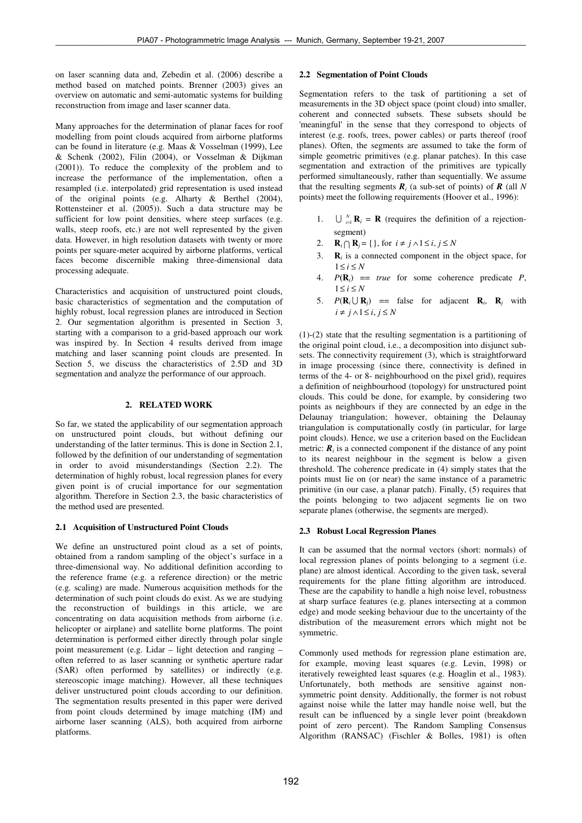on laser scanning data and, Zebedin et al. (2006) describe a method based on matched points. Brenner (2003) gives an overview on automatic and semi-automatic systems for building reconstruction from image and laser scanner data.

Many approaches for the determination of planar faces for roof modelling from point clouds acquired from airborne platforms can be found in literature (e.g. Maas & Vosselman (1999), Lee & Schenk (2002), Filin (2004), or Vosselman & Dijkman (2001)). To reduce the complexity of the problem and to increase the performance of the implementation, often a resampled (i.e. interpolated) grid representation is used instead of the original points (e.g. Alharty & Berthel (2004), Rottensteiner et al. (2005)). Such a data structure may be sufficient for low point densities, where steep surfaces (e.g. walls, steep roofs, etc.) are not well represented by the given data. However, in high resolution datasets with twenty or more points per square-meter acquired by airborne platforms, vertical faces become discernible making three-dimensional data processing adequate.

Characteristics and acquisition of unstructured point clouds, basic characteristics of segmentation and the computation of highly robust, local regression planes are introduced in Section 2. Our segmentation algorithm is presented in Section 3, starting with a comparison to a grid-based approach our work was inspired by. In Section 4 results derived from image matching and laser scanning point clouds are presented. In Section 5, we discuss the characteristics of 2.5D and 3D segmentation and analyze the performance of our approach.

# **2. RELATED WORK**

So far, we stated the applicability of our segmentation approach on unstructured point clouds, but without defining our understanding of the latter terminus. This is done in Section 2.1, followed by the definition of our understanding of segmentation in order to avoid misunderstandings (Section 2.2). The determination of highly robust, local regression planes for every given point is of crucial importance for our segmentation algorithm. Therefore in Section 2.3, the basic characteristics of the method used are presented.

### **2.1 Acquisition of Unstructured Point Clouds**

We define an unstructured point cloud as a set of points, obtained from a random sampling of the object's surface in a three-dimensional way. No additional definition according to the reference frame (e.g. a reference direction) or the metric (e.g. scaling) are made. Numerous acquisition methods for the determination of such point clouds do exist. As we are studying the reconstruction of buildings in this article, we are concentrating on data acquisition methods from airborne (i.e. helicopter or airplane) and satellite borne platforms. The point determination is performed either directly through polar single point measurement (e.g. Lidar – light detection and ranging – often referred to as laser scanning or synthetic aperture radar (SAR) often performed by satellites) or indirectly (e.g. stereoscopic image matching). However, all these techniques deliver unstructured point clouds according to our definition. The segmentation results presented in this paper were derived from point clouds determined by image matching (IM) and airborne laser scanning (ALS), both acquired from airborne platforms.

# **2.2 Segmentation of Point Clouds**

Segmentation refers to the task of partitioning a set of measurements in the 3D object space (point cloud) into smaller, coherent and connected subsets. These subsets should be 'meaningful' in the sense that they correspond to objects of interest (e.g. roofs, trees, power cables) or parts thereof (roof planes). Often, the segments are assumed to take the form of simple geometric primitives (e.g. planar patches). In this case segmentation and extraction of the primitives are typically performed simultaneously, rather than sequentially. We assume that the resulting segments  $\mathbf{R}_i$  (a sub-set of points) of  $\mathbf{R}$  (all  $N$ points) meet the following requirements (Hoover et al., 1996):

- 1.  $\bigcup_{i=1}^{N} \mathbf{R}_i = \mathbf{R}$  (requires the definition of a rejectionsegment)
- 2. **R**<sub>*i*</sub>  $\cap$  **R**<sub>*j*</sub> = {}, for *i* ≠ *j*  $\land$ 1 ≤ *i*, *j* ≤ *N*
- 3.  $\mathbf{R}_i$  is a connected component in the object space, for  $1 \leq i \leq N$
- 4.  $P(\mathbf{R}_i) = true$  for some coherence predicate  $P$ ,  $1 \leq i \leq N$
- 5.  $P(\mathbf{R}_i \cup \mathbf{R}_j) = \text{false}$  false for adjacent  $\mathbf{R}_i$ ,  $\mathbf{R}_j$  with *i* ≠ *j* ∧1≤ *i*, *j* ≤ *N*

(1)-(2) state that the resulting segmentation is a partitioning of the original point cloud, i.e., a decomposition into disjunct subsets. The connectivity requirement (3), which is straightforward in image processing (since there, connectivity is defined in terms of the 4- or 8- neighbourhood on the pixel grid), requires a definition of neighbourhood (topology) for unstructured point clouds. This could be done, for example, by considering two points as neighbours if they are connected by an edge in the Delaunay triangulation; however, obtaining the Delaunay triangulation is computationally costly (in particular, for large point clouds). Hence, we use a criterion based on the Euclidean metric:  $\mathbf{R}_i$  is a connected component if the distance of any point to its nearest neighbour in the segment is below a given threshold. The coherence predicate in (4) simply states that the points must lie on (or near) the same instance of a parametric primitive (in our case, a planar patch). Finally, (5) requires that the points belonging to two adjacent segments lie on two separate planes (otherwise, the segments are merged).

# **2.3 Robust Local Regression Planes**

It can be assumed that the normal vectors (short: normals) of local regression planes of points belonging to a segment (i.e. plane) are almost identical. According to the given task, several requirements for the plane fitting algorithm are introduced. These are the capability to handle a high noise level, robustness at sharp surface features (e.g. planes intersecting at a common edge) and mode seeking behaviour due to the uncertainty of the distribution of the measurement errors which might not be symmetric.

Commonly used methods for regression plane estimation are, for example, moving least squares (e.g. Levin, 1998) or iteratively reweighted least squares (e.g. Hoaglin et al., 1983). Unfortunately, both methods are sensitive against nonsymmetric point density. Additionally, the former is not robust against noise while the latter may handle noise well, but the result can be influenced by a single lever point (breakdown point of zero percent). The Random Sampling Consensus Algorithm (RANSAC) (Fischler & Bolles, 1981) is often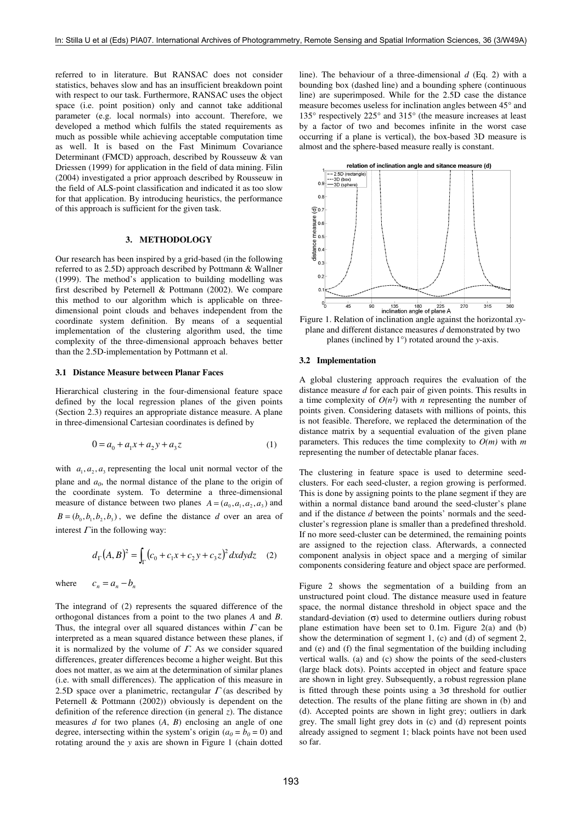referred to in literature. But RANSAC does not consider statistics, behaves slow and has an insufficient breakdown point with respect to our task. Furthermore, RANSAC uses the object space (i.e. point position) only and cannot take additional parameter (e.g. local normals) into account. Therefore, we developed a method which fulfils the stated requirements as much as possible while achieving acceptable computation time as well. It is based on the Fast Minimum Covariance Determinant (FMCD) approach, described by Rousseuw & van Driessen (1999) for application in the field of data mining. Filin (2004) investigated a prior approach described by Rousseuw in the field of ALS-point classification and indicated it as too slow for that application. By introducing heuristics, the performance of this approach is sufficient for the given task.

# **3. METHODOLOGY**

Our research has been inspired by a grid-based (in the following referred to as 2.5D) approach described by Pottmann & Wallner (1999). The method's application to building modelling was first described by Peternell & Pottmann (2002). We compare this method to our algorithm which is applicable on threedimensional point clouds and behaves independent from the coordinate system definition. By means of a sequential implementation of the clustering algorithm used, the time complexity of the three-dimensional approach behaves better than the 2.5D-implementation by Pottmann et al.

#### **3.1 Distance Measure between Planar Faces**

Hierarchical clustering in the four-dimensional feature space defined by the local regression planes of the given points (Section 2.3) requires an appropriate distance measure. A plane in three-dimensional Cartesian coordinates is defined by

$$
0 = a_0 + a_1 x + a_2 y + a_3 z \tag{1}
$$

with  $a_1, a_2, a_3$  representing the local unit normal vector of the plane and *a<sup>0</sup>* , the normal distance of the plane to the origin of the coordinate system. To determine a three-dimensional measure of distance between two planes  $A = (a_0, a_1, a_2, a_3)$  and  $B = (b_0, b_1, b_2, b_3)$ , we define the distance *d* over an area of interest  $\Gamma$  in the following way:

$$
d_{\Gamma}(A, B)^{2} = \int_{\Gamma} (c_{0} + c_{1}x + c_{2}y + c_{3}z)^{2} dx dy dz
$$
 (2)

where  $c_n = a_n - b_n$ 

The integrand of (2) represents the squared difference of the orthogonal distances from a point to the two planes *A* and *B*. Thus, the integral over all squared distances within  $\Gamma$  can be interpreted as a mean squared distance between these planes, if it is normalized by the volume of  $\Gamma$ . As we consider squared differences, greater differences become a higher weight. But this does not matter, as we aim at the determination of similar planes (i.e. with small differences). The application of this measure in 2.5D space over a planimetric, rectangular  $\Gamma$  (as described by Peternell & Pottmann (2002)) obviously is dependent on the definition of the reference direction (in general *z*). The distance measures *d* for two planes (*A*, *B*) enclosing an angle of one degree, intersecting within the system's origin ( $a_0 = b_0 = 0$ ) and rotating around the *y* axis are shown in Figure 1 (chain dotted

line). The behaviour of a three-dimensional *d* (Eq. 2) with a bounding box (dashed line) and a bounding sphere (continuous line) are superimposed. While for the 2.5D case the distance measure becomes useless for inclination angles between 45° and 135° respectively 225° and 315° (the measure increases at least by a factor of two and becomes infinite in the worst case occurring if a plane is vertical), the box-based 3D measure is almost and the sphere-based measure really is constant.



Figure 1. Relation of inclination angle against the horizontal *xy*plane and different distance measures *d* demonstrated by two planes (inclined by 1°) rotated around the *y*-axis.

#### **3.2 Implementation**

A global clustering approach requires the evaluation of the distance measure *d* for each pair of given points. This results in a time complexity of  $O(n^2)$  with *n* representing the number of points given. Considering datasets with millions of points, this is not feasible. Therefore, we replaced the determination of the distance matrix by a sequential evaluation of the given plane parameters. This reduces the time complexity to  $O(m)$  with *m* representing the number of detectable planar faces.

The clustering in feature space is used to determine seedclusters. For each seed-cluster, a region growing is performed. This is done by assigning points to the plane segment if they are within a normal distance band around the seed-cluster's plane and if the distance *d* between the points' normals and the seedcluster's regression plane is smaller than a predefined threshold. If no more seed-cluster can be determined, the remaining points are assigned to the rejection class. Afterwards, a connected component analysis in object space and a merging of similar components considering feature and object space are performed.

Figure 2 shows the segmentation of a building from an unstructured point cloud. The distance measure used in feature space, the normal distance threshold in object space and the standard-deviation (σ) used to determine outliers during robust plane estimation have been set to 0.1m. Figure 2(a) and (b) show the determination of segment 1, (c) and (d) of segment 2, and (e) and (f) the final segmentation of the building including vertical walls. (a) and (c) show the points of the seed-clusters (large black dots). Points accepted in object and feature space are shown in light grey. Subsequently, a robust regression plane is fitted through these points using a  $3\sigma$  threshold for outlier detection. The results of the plane fitting are shown in (b) and (d). Accepted points are shown in light grey; outliers in dark grey. The small light grey dots in (c) and (d) represent points already assigned to segment 1; black points have not been used so far.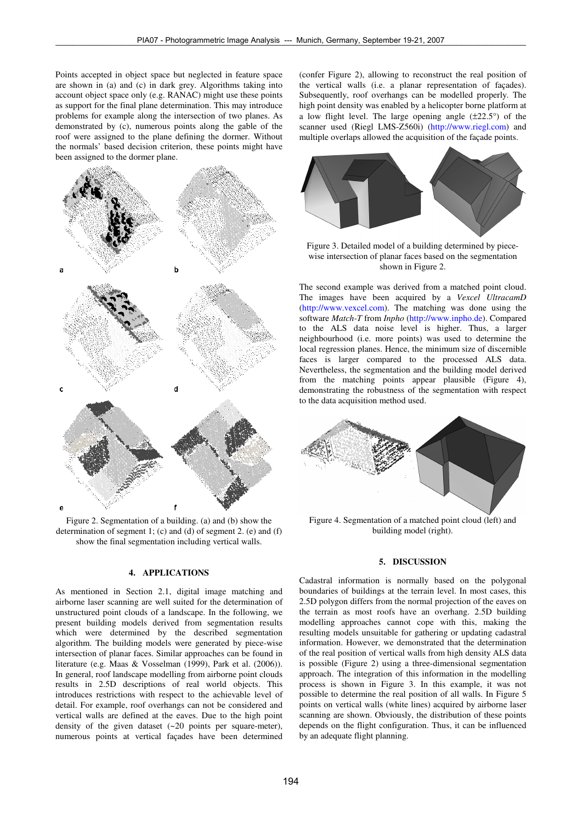Points accepted in object space but neglected in feature space are shown in (a) and (c) in dark grey. Algorithms taking into account object space only (e.g. RANAC) might use these points as support for the final plane determination. This may introduce problems for example along the intersection of two planes. As demonstrated by (c), numerous points along the gable of the roof were assigned to the plane defining the dormer. Without the normals' based decision criterion, these points might have been assigned to the dormer plane.



Figure 2. Segmentation of a building. (a) and (b) show the determination of segment 1; (c) and (d) of segment 2. (e) and (f) show the final segmentation including vertical walls.

### **4. APPLICATIONS**

As mentioned in Section 2.1, digital image matching and airborne laser scanning are well suited for the determination of unstructured point clouds of a landscape. In the following, we present building models derived from segmentation results which were determined by the described segmentation algorithm. The building models were generated by piece-wise intersection of planar faces. Similar approaches can be found in literature (e.g. Maas & Vosselman (1999), Park et al. (2006)). In general, roof landscape modelling from airborne point clouds results in 2.5D descriptions of real world objects. This introduces restrictions with respect to the achievable level of detail. For example, roof overhangs can not be considered and vertical walls are defined at the eaves. Due to the high point density of the given dataset (~20 points per square-meter), numerous points at vertical façades have been determined

(confer Figure 2), allowing to reconstruct the real position of the vertical walls (i.e. a planar representation of façades). Subsequently, roof overhangs can be modelled properly. The high point density was enabled by a helicopter borne platform at a low flight level. The large opening angle  $(\pm 22.5^{\circ})$  of the scanner used (Riegl LMS-Z560i) (http://www.riegl.com) and multiple overlaps allowed the acquisition of the façade points.



Figure 3. Detailed model of a building determined by piecewise intersection of planar faces based on the segmentation shown in Figure 2.

The second example was derived from a matched point cloud. The images have been acquired by a *Vexcel UltracamD* (http://www.vexcel.com). The matching was done using the software *Match-T* from *Inpho* (http://www.inpho.de). Compared to the ALS data noise level is higher. Thus, a larger neighbourhood (i.e. more points) was used to determine the local regression planes. Hence, the minimum size of discernible faces is larger compared to the processed ALS data. Nevertheless, the segmentation and the building model derived from the matching points appear plausible (Figure 4), demonstrating the robustness of the segmentation with respect to the data acquisition method used.



Figure 4. Segmentation of a matched point cloud (left) and building model (right).

# **5. DISCUSSION**

Cadastral information is normally based on the polygonal boundaries of buildings at the terrain level. In most cases, this 2.5D polygon differs from the normal projection of the eaves on the terrain as most roofs have an overhang. 2.5D building modelling approaches cannot cope with this, making the resulting models unsuitable for gathering or updating cadastral information. However, we demonstrated that the determination of the real position of vertical walls from high density ALS data is possible (Figure 2) using a three-dimensional segmentation approach. The integration of this information in the modelling process is shown in Figure 3. In this example, it was not possible to determine the real position of all walls. In Figure 5 points on vertical walls (white lines) acquired by airborne laser scanning are shown. Obviously, the distribution of these points depends on the flight configuration. Thus, it can be influenced by an adequate flight planning.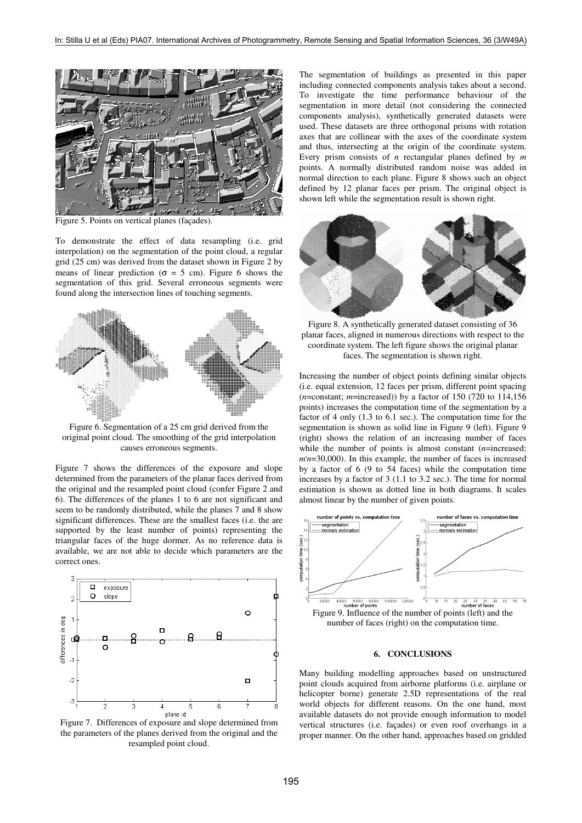

Figure 5. Points on vertical planes (façades).

To demonstrate the effect of data resampling (i.e. grid interpolation) on the segmentation of the point cloud, a regular grid (25 cm) was derived from the dataset shown in Figure 2 by means of linear prediction ( $\sigma = 5$  cm). Figure 6 shows the segmentation of this grid. Several erroneous segments were found along the intersection lines of touching segments.



Figure 6. Segmentation of a 25 cm grid derived from the original point cloud. The smoothing of the grid interpolation causes erroneous segments.

Figure 7 shows the differences of the exposure and slope determined from the parameters of the planar faces derived from the original and the resampled point cloud (confer Figure 2 and 6). The differences of the planes 1 to 6 are not significant and seem to be randomly distributed, while the planes 7 and 8 show significant differences. These are the smallest faces (i.e. the are supported by the least number of points) representing the triangular faces of the huge dormer. As no reference data is available, we are not able to decide which parameters are the correct ones.



Figure 7. Differences of exposure and slope determined from the parameters of the planes derived from the original and the resampled point cloud.

The segmentation of buildings as presented in this paper including connected components analysis takes about a second. To investigate the time performance behaviour of the segmentation in more detail (not considering the connected components analysis), synthetically generated datasets were used. These datasets are three orthogonal prisms with rotation axes that are collinear with the axes of the coordinate system and thus, intersecting at the origin of the coordinate system. Every prism consists of *n* rectangular planes defined by *m* points. A normally distributed random noise was added in normal direction to each plane. Figure 8 shows such an object defined by 12 planar faces per prism. The original object is shown left while the segmentation result is shown right.



Figure 8. A synthetically generated dataset consisting of 36 planar faces, aligned in numerous directions with respect to the coordinate system. The left figure shows the original planar faces. The segmentation is shown right.

Increasing the number of object points defining similar objects (i.e. equal extension, 12 faces per prism, different point spacing (*n*=constant; *m*=increased)) by a factor of 150 (720 to 114,156 points) increases the computation time of the segmentation by a factor of 4 only (1.3 to 6.1 sec.). The computation time for the segmentation is shown as solid line in Figure 9 (left). Figure 9 (right) shows the relation of an increasing number of faces while the number of points is almost constant (*n*=increased;  $m\dot{n}$ =30,000). In this example, the number of faces is increased by a factor of 6 (9 to 54 faces) while the computation time increases by a factor of 3 (1.1 to 3.2 sec.). The time for normal estimation is shown as dotted line in both diagrams. It scales almost linear by the number of given points.



#### **6. CONCLUSIONS**

Many building modelling approaches based on unstructured point clouds acquired from airborne platforms (i.e. airplane or helicopter borne) generate 2.5D representations of the real world objects for different reasons. On the one hand, most available datasets do not provide enough information to model vertical structures (i.e. façades) or even roof overhangs in a proper manner. On the other hand, approaches based on gridded